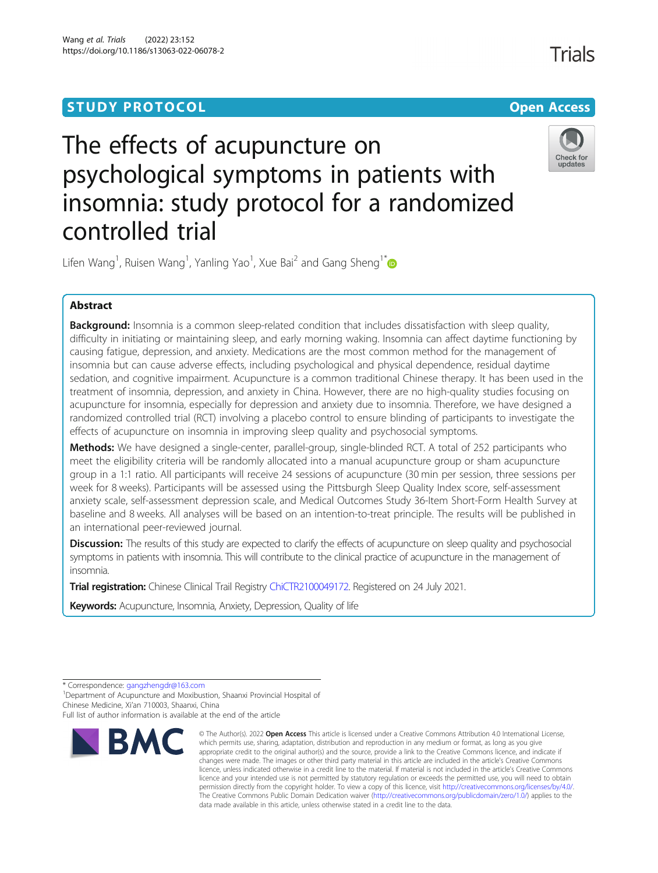# **STUDY PROTOCOL CONSUMING THE RESERVE ACCESS**



# The effects of acupuncture on psychological symptoms in patients with insomnia: study protocol for a randomized controlled trial



Lifen Wang<sup>1</sup>, Ruisen Wang<sup>1</sup>, Yanling Yao<sup>1</sup>, Xue Bai<sup>2</sup> and Gang Sheng<sup>1\*</sup>

# Abstract

Background: Insomnia is a common sleep-related condition that includes dissatisfaction with sleep quality, difficulty in initiating or maintaining sleep, and early morning waking. Insomnia can affect daytime functioning by causing fatigue, depression, and anxiety. Medications are the most common method for the management of insomnia but can cause adverse effects, including psychological and physical dependence, residual daytime sedation, and cognitive impairment. Acupuncture is a common traditional Chinese therapy. It has been used in the treatment of insomnia, depression, and anxiety in China. However, there are no high-quality studies focusing on acupuncture for insomnia, especially for depression and anxiety due to insomnia. Therefore, we have designed a randomized controlled trial (RCT) involving a placebo control to ensure blinding of participants to investigate the effects of acupuncture on insomnia in improving sleep quality and psychosocial symptoms.

Methods: We have designed a single-center, parallel-group, single-blinded RCT. A total of 252 participants who meet the eligibility criteria will be randomly allocated into a manual acupuncture group or sham acupuncture group in a 1:1 ratio. All participants will receive 24 sessions of acupuncture (30 min per session, three sessions per week for 8 weeks). Participants will be assessed using the Pittsburgh Sleep Quality Index score, self-assessment anxiety scale, self-assessment depression scale, and Medical Outcomes Study 36-Item Short-Form Health Survey at baseline and 8 weeks. All analyses will be based on an intention-to-treat principle. The results will be published in an international peer-reviewed journal.

Discussion: The results of this study are expected to clarify the effects of acupuncture on sleep quality and psychosocial symptoms in patients with insomnia. This will contribute to the clinical practice of acupuncture in the management of insomnia.

Trial registration: Chinese Clinical Trail Registry [ChiCTR2100049172](http://www.chictr.org.cn/showproj.aspx?proj=130809). Registered on 24 July 2021.

Keywords: Acupuncture, Insomnia, Anxiety, Depression, Quality of life

\* Correspondence: [gangzhengdr@163.com](mailto:gangzhengdr@163.com) <sup>1</sup>

<sup>1</sup>Department of Acupuncture and Moxibustion, Shaanxi Provincial Hospital of Chinese Medicine, Xi'an 710003, Shaanxi, China

Full list of author information is available at the end of the article



<sup>©</sup> The Author(s), 2022 **Open Access** This article is licensed under a Creative Commons Attribution 4.0 International License, which permits use, sharing, adaptation, distribution and reproduction in any medium or format, as long as you give appropriate credit to the original author(s) and the source, provide a link to the Creative Commons licence, and indicate if changes were made. The images or other third party material in this article are included in the article's Creative Commons licence, unless indicated otherwise in a credit line to the material. If material is not included in the article's Creative Commons licence and your intended use is not permitted by statutory regulation or exceeds the permitted use, you will need to obtain permission directly from the copyright holder. To view a copy of this licence, visit [http://creativecommons.org/licenses/by/4.0/.](http://creativecommons.org/licenses/by/4.0/) The Creative Commons Public Domain Dedication waiver [\(http://creativecommons.org/publicdomain/zero/1.0/](http://creativecommons.org/publicdomain/zero/1.0/)) applies to the data made available in this article, unless otherwise stated in a credit line to the data.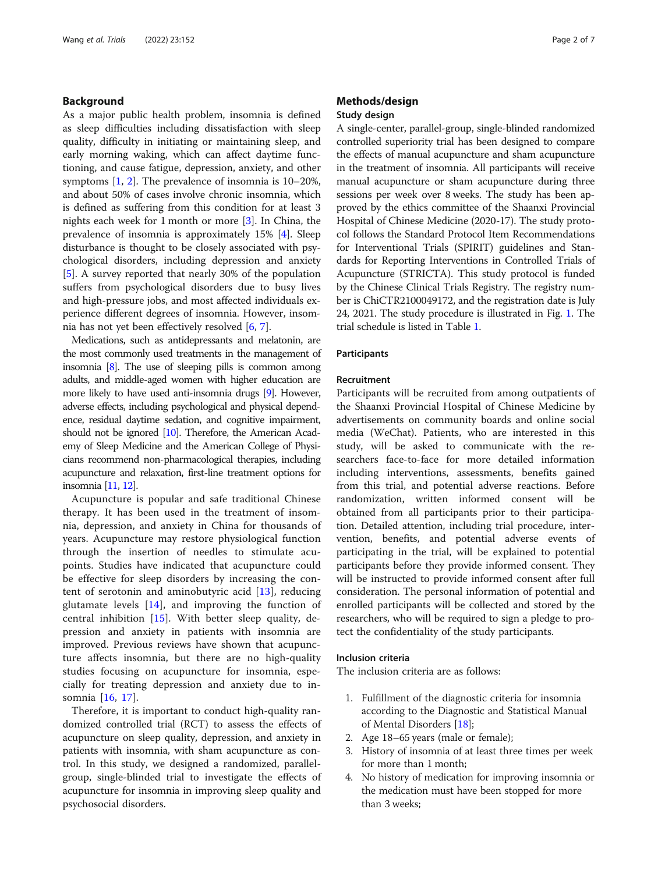# Background

As a major public health problem, insomnia is defined as sleep difficulties including dissatisfaction with sleep quality, difficulty in initiating or maintaining sleep, and early morning waking, which can affect daytime functioning, and cause fatigue, depression, anxiety, and other symptoms [[1,](#page-6-0) [2](#page-6-0)]. The prevalence of insomnia is 10–20%, and about 50% of cases involve chronic insomnia, which is defined as suffering from this condition for at least 3 nights each week for 1 month or more [[3](#page-6-0)]. In China, the prevalence of insomnia is approximately 15% [[4](#page-6-0)]. Sleep disturbance is thought to be closely associated with psychological disorders, including depression and anxiety [[5\]](#page-6-0). A survey reported that nearly 30% of the population suffers from psychological disorders due to busy lives and high-pressure jobs, and most affected individuals experience different degrees of insomnia. However, insomnia has not yet been effectively resolved [\[6](#page-6-0), [7](#page-6-0)].

Medications, such as antidepressants and melatonin, are the most commonly used treatments in the management of insomnia [\[8](#page-6-0)]. The use of sleeping pills is common among adults, and middle-aged women with higher education are more likely to have used anti-insomnia drugs [\[9\]](#page-6-0). However, adverse effects, including psychological and physical dependence, residual daytime sedation, and cognitive impairment, should not be ignored [\[10](#page-6-0)]. Therefore, the American Academy of Sleep Medicine and the American College of Physicians recommend non-pharmacological therapies, including acupuncture and relaxation, first-line treatment options for insomnia [\[11](#page-6-0), [12](#page-6-0)].

Acupuncture is popular and safe traditional Chinese therapy. It has been used in the treatment of insomnia, depression, and anxiety in China for thousands of years. Acupuncture may restore physiological function through the insertion of needles to stimulate acupoints. Studies have indicated that acupuncture could be effective for sleep disorders by increasing the content of serotonin and aminobutyric acid [[13\]](#page-6-0), reducing glutamate levels [\[14](#page-6-0)], and improving the function of central inhibition [\[15](#page-6-0)]. With better sleep quality, depression and anxiety in patients with insomnia are improved. Previous reviews have shown that acupuncture affects insomnia, but there are no high-quality studies focusing on acupuncture for insomnia, especially for treating depression and anxiety due to insomnia [[16,](#page-6-0) [17](#page-6-0)].

Therefore, it is important to conduct high-quality randomized controlled trial (RCT) to assess the effects of acupuncture on sleep quality, depression, and anxiety in patients with insomnia, with sham acupuncture as control. In this study, we designed a randomized, parallelgroup, single-blinded trial to investigate the effects of acupuncture for insomnia in improving sleep quality and psychosocial disorders.

# Methods/design Study design

A single-center, parallel-group, single-blinded randomized controlled superiority trial has been designed to compare the effects of manual acupuncture and sham acupuncture in the treatment of insomnia. All participants will receive manual acupuncture or sham acupuncture during three sessions per week over 8 weeks. The study has been approved by the ethics committee of the Shaanxi Provincial Hospital of Chinese Medicine (2020-17). The study protocol follows the Standard Protocol Item Recommendations for Interventional Trials (SPIRIT) guidelines and Standards for Reporting Interventions in Controlled Trials of Acupuncture (STRICTA). This study protocol is funded by the Chinese Clinical Trials Registry. The registry number is ChiCTR2100049172, and the registration date is July 24, 2021. The study procedure is illustrated in Fig. [1](#page-2-0). The trial schedule is listed in Table [1.](#page-3-0)

#### Participants

# Recruitment

Participants will be recruited from among outpatients of the Shaanxi Provincial Hospital of Chinese Medicine by advertisements on community boards and online social media (WeChat). Patients, who are interested in this study, will be asked to communicate with the researchers face-to-face for more detailed information including interventions, assessments, benefits gained from this trial, and potential adverse reactions. Before randomization, written informed consent will be obtained from all participants prior to their participation. Detailed attention, including trial procedure, intervention, benefits, and potential adverse events of participating in the trial, will be explained to potential participants before they provide informed consent. They will be instructed to provide informed consent after full consideration. The personal information of potential and enrolled participants will be collected and stored by the researchers, who will be required to sign a pledge to protect the confidentiality of the study participants.

# Inclusion criteria

The inclusion criteria are as follows:

- 1. Fulfillment of the diagnostic criteria for insomnia according to the Diagnostic and Statistical Manual of Mental Disorders [\[18](#page-6-0)];
- 2. Age 18–65 years (male or female);
- 3. History of insomnia of at least three times per week for more than 1 month;
- 4. No history of medication for improving insomnia or the medication must have been stopped for more than 3 weeks;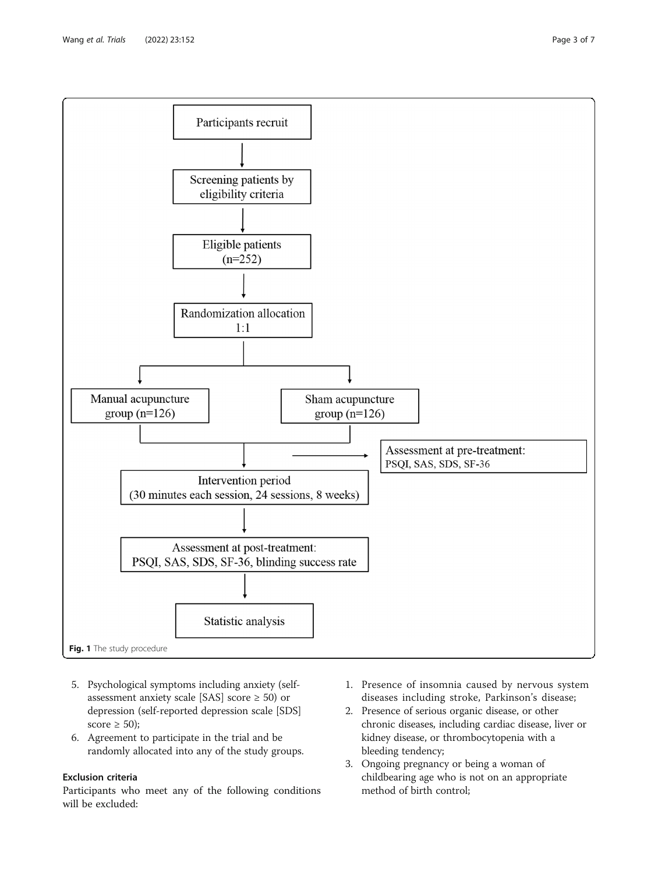<span id="page-2-0"></span>

- 5. Psychological symptoms including anxiety (selfassessment anxiety scale [SAS] score  $\geq$  50) or depression (self-reported depression scale [SDS] score  $\geq 50$ );
- 6. Agreement to participate in the trial and be randomly allocated into any of the study groups.

# Exclusion criteria

Participants who meet any of the following conditions will be excluded:

- 1. Presence of insomnia caused by nervous system diseases including stroke, Parkinson's disease;
- 2. Presence of serious organic disease, or other chronic diseases, including cardiac disease, liver or kidney disease, or thrombocytopenia with a bleeding tendency;
- 3. Ongoing pregnancy or being a woman of childbearing age who is not on an appropriate method of birth control;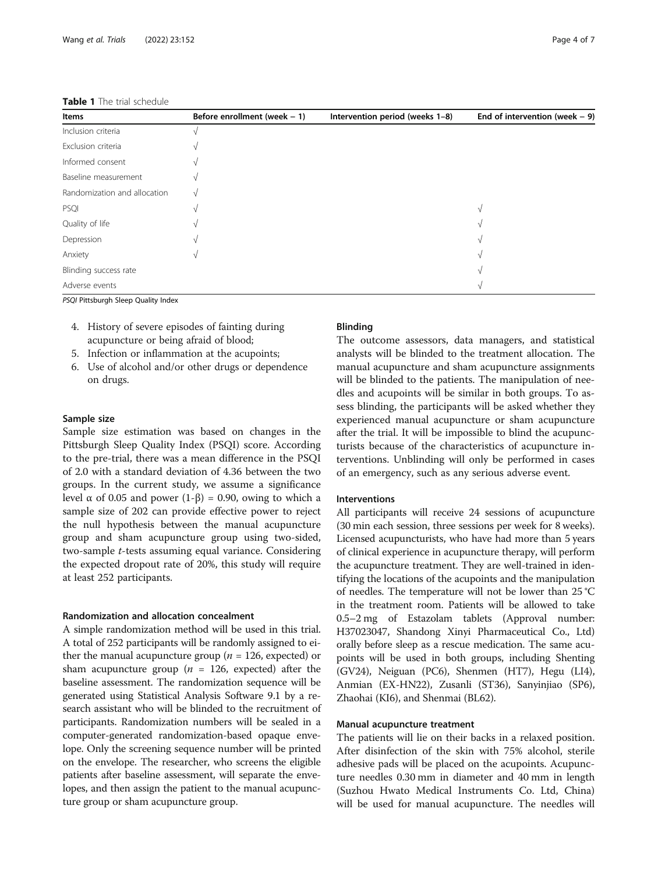<span id="page-3-0"></span>

| <b>Table 1</b> The trial schedule |  |
|-----------------------------------|--|
|-----------------------------------|--|

| Items                        | Before enrollment (week $-1$ ) | Intervention period (weeks 1-8) | End of intervention (week $-9$ ) |
|------------------------------|--------------------------------|---------------------------------|----------------------------------|
| Inclusion criteria           |                                |                                 |                                  |
| Exclusion criteria           |                                |                                 |                                  |
| Informed consent             |                                |                                 |                                  |
| Baseline measurement         |                                |                                 |                                  |
| Randomization and allocation | $\sqrt{ }$                     |                                 |                                  |
| PSQI                         | A.                             |                                 |                                  |
| Quality of life              |                                |                                 |                                  |
| Depression                   |                                |                                 |                                  |
| Anxiety                      |                                |                                 |                                  |
| Blinding success rate        |                                |                                 |                                  |
| Adverse events               |                                |                                 |                                  |

PSQI Pittsburgh Sleep Quality Index

- 4. History of severe episodes of fainting during acupuncture or being afraid of blood;
- 5. Infection or inflammation at the acupoints;
- 6. Use of alcohol and/or other drugs or dependence on drugs.

# Sample size

Sample size estimation was based on changes in the Pittsburgh Sleep Quality Index (PSQI) score. According to the pre-trial, there was a mean difference in the PSQI of 2.0 with a standard deviation of 4.36 between the two groups. In the current study, we assume a significance level α of 0.05 and power  $(1-β) = 0.90$ , owing to which a sample size of 202 can provide effective power to reject the null hypothesis between the manual acupuncture group and sham acupuncture group using two-sided, two-sample t-tests assuming equal variance. Considering the expected dropout rate of 20%, this study will require at least 252 participants.

#### Randomization and allocation concealment

A simple randomization method will be used in this trial. A total of 252 participants will be randomly assigned to either the manual acupuncture group ( $n = 126$ , expected) or sham acupuncture group ( $n = 126$ , expected) after the baseline assessment. The randomization sequence will be generated using Statistical Analysis Software 9.1 by a research assistant who will be blinded to the recruitment of participants. Randomization numbers will be sealed in a computer-generated randomization-based opaque envelope. Only the screening sequence number will be printed on the envelope. The researcher, who screens the eligible patients after baseline assessment, will separate the envelopes, and then assign the patient to the manual acupuncture group or sham acupuncture group.

# Blinding

The outcome assessors, data managers, and statistical analysts will be blinded to the treatment allocation. The manual acupuncture and sham acupuncture assignments will be blinded to the patients. The manipulation of needles and acupoints will be similar in both groups. To assess blinding, the participants will be asked whether they experienced manual acupuncture or sham acupuncture after the trial. It will be impossible to blind the acupuncturists because of the characteristics of acupuncture interventions. Unblinding will only be performed in cases of an emergency, such as any serious adverse event.

# Interventions

All participants will receive 24 sessions of acupuncture (30 min each session, three sessions per week for 8 weeks). Licensed acupuncturists, who have had more than 5 years of clinical experience in acupuncture therapy, will perform the acupuncture treatment. They are well-trained in identifying the locations of the acupoints and the manipulation of needles. The temperature will not be lower than 25 °C in the treatment room. Patients will be allowed to take 0.5–2 mg of Estazolam tablets (Approval number: H37023047, Shandong Xinyi Pharmaceutical Co., Ltd) orally before sleep as a rescue medication. The same acupoints will be used in both groups, including Shenting (GV24), Neiguan (PC6), Shenmen (HT7), Hegu (LI4), Anmian (EX-HN22), Zusanli (ST36), Sanyinjiao (SP6), Zhaohai (KI6), and Shenmai (BL62).

# Manual acupuncture treatment

The patients will lie on their backs in a relaxed position. After disinfection of the skin with 75% alcohol, sterile adhesive pads will be placed on the acupoints. Acupuncture needles 0.30 mm in diameter and 40 mm in length (Suzhou Hwato Medical Instruments Co. Ltd, China) will be used for manual acupuncture. The needles will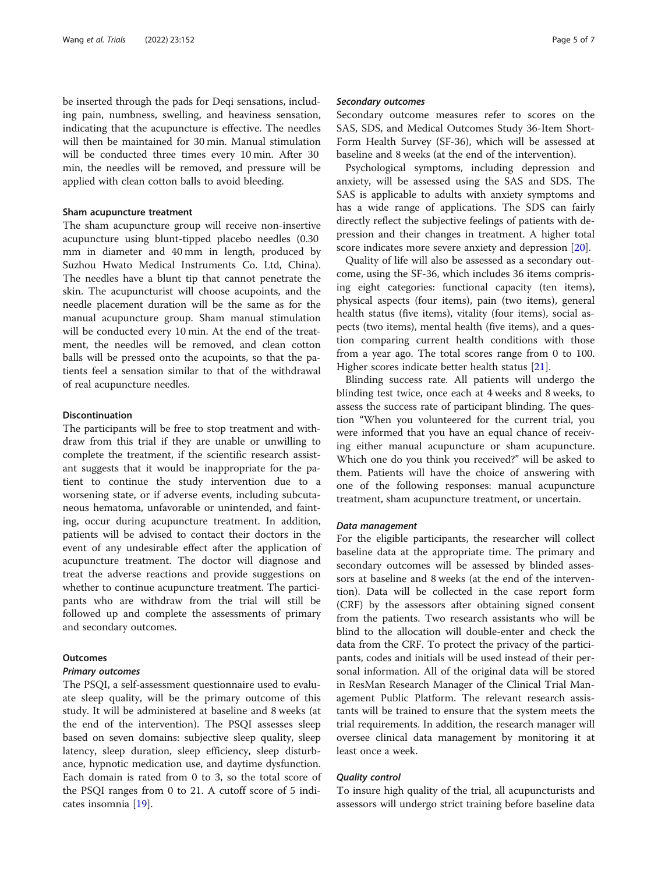be inserted through the pads for Deqi sensations, including pain, numbness, swelling, and heaviness sensation, indicating that the acupuncture is effective. The needles will then be maintained for 30 min. Manual stimulation will be conducted three times every 10 min. After 30 min, the needles will be removed, and pressure will be applied with clean cotton balls to avoid bleeding.

# Sham acupuncture treatment

The sham acupuncture group will receive non-insertive acupuncture using blunt-tipped placebo needles (0.30 mm in diameter and 40 mm in length, produced by Suzhou Hwato Medical Instruments Co. Ltd, China). The needles have a blunt tip that cannot penetrate the skin. The acupuncturist will choose acupoints, and the needle placement duration will be the same as for the manual acupuncture group. Sham manual stimulation will be conducted every 10 min. At the end of the treatment, the needles will be removed, and clean cotton balls will be pressed onto the acupoints, so that the patients feel a sensation similar to that of the withdrawal of real acupuncture needles.

#### Discontinuation

The participants will be free to stop treatment and withdraw from this trial if they are unable or unwilling to complete the treatment, if the scientific research assistant suggests that it would be inappropriate for the patient to continue the study intervention due to a worsening state, or if adverse events, including subcutaneous hematoma, unfavorable or unintended, and fainting, occur during acupuncture treatment. In addition, patients will be advised to contact their doctors in the event of any undesirable effect after the application of acupuncture treatment. The doctor will diagnose and treat the adverse reactions and provide suggestions on whether to continue acupuncture treatment. The participants who are withdraw from the trial will still be followed up and complete the assessments of primary and secondary outcomes.

#### **Outcomes**

#### Primary outcomes

The PSQI, a self-assessment questionnaire used to evaluate sleep quality, will be the primary outcome of this study. It will be administered at baseline and 8 weeks (at the end of the intervention). The PSQI assesses sleep based on seven domains: subjective sleep quality, sleep latency, sleep duration, sleep efficiency, sleep disturbance, hypnotic medication use, and daytime dysfunction. Each domain is rated from 0 to 3, so the total score of the PSQI ranges from 0 to 21. A cutoff score of 5 indicates insomnia [\[19](#page-6-0)].

#### Secondary outcomes

Secondary outcome measures refer to scores on the SAS, SDS, and Medical Outcomes Study 36-Item Short-Form Health Survey (SF-36), which will be assessed at baseline and 8 weeks (at the end of the intervention).

Psychological symptoms, including depression and anxiety, will be assessed using the SAS and SDS. The SAS is applicable to adults with anxiety symptoms and has a wide range of applications. The SDS can fairly directly reflect the subjective feelings of patients with depression and their changes in treatment. A higher total score indicates more severe anxiety and depression [[20\]](#page-6-0).

Quality of life will also be assessed as a secondary outcome, using the SF-36, which includes 36 items comprising eight categories: functional capacity (ten items), physical aspects (four items), pain (two items), general health status (five items), vitality (four items), social aspects (two items), mental health (five items), and a question comparing current health conditions with those from a year ago. The total scores range from 0 to 100. Higher scores indicate better health status [[21\]](#page-6-0).

Blinding success rate. All patients will undergo the blinding test twice, once each at 4 weeks and 8 weeks, to assess the success rate of participant blinding. The question "When you volunteered for the current trial, you were informed that you have an equal chance of receiving either manual acupuncture or sham acupuncture. Which one do you think you received?" will be asked to them. Patients will have the choice of answering with one of the following responses: manual acupuncture treatment, sham acupuncture treatment, or uncertain.

# Data management

For the eligible participants, the researcher will collect baseline data at the appropriate time. The primary and secondary outcomes will be assessed by blinded assessors at baseline and 8 weeks (at the end of the intervention). Data will be collected in the case report form (CRF) by the assessors after obtaining signed consent from the patients. Two research assistants who will be blind to the allocation will double-enter and check the data from the CRF. To protect the privacy of the participants, codes and initials will be used instead of their personal information. All of the original data will be stored in ResMan Research Manager of the Clinical Trial Management Public Platform. The relevant research assistants will be trained to ensure that the system meets the trial requirements. In addition, the research manager will oversee clinical data management by monitoring it at least once a week.

# Quality control

To insure high quality of the trial, all acupuncturists and assessors will undergo strict training before baseline data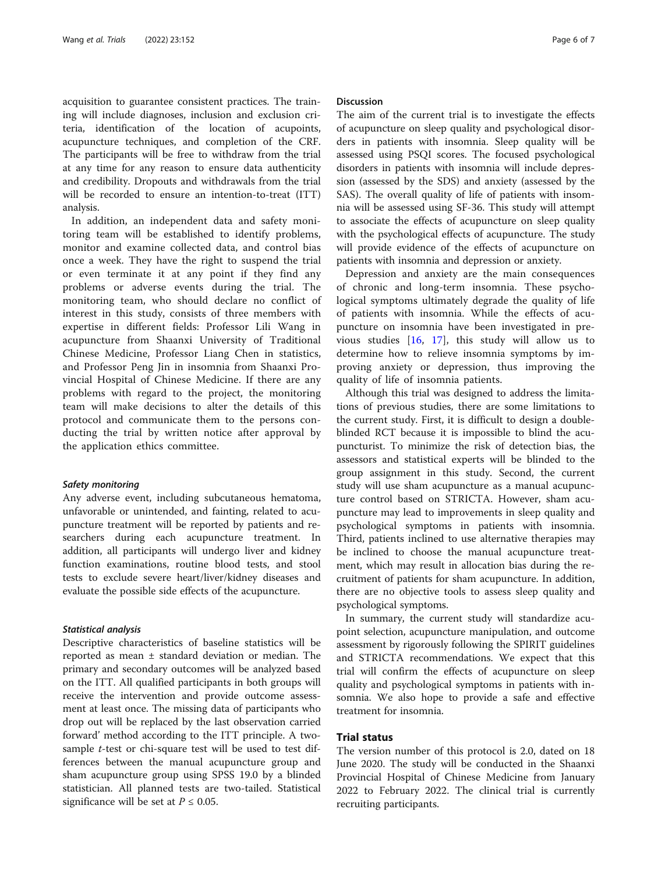acquisition to guarantee consistent practices. The training will include diagnoses, inclusion and exclusion criteria, identification of the location of acupoints, acupuncture techniques, and completion of the CRF. The participants will be free to withdraw from the trial at any time for any reason to ensure data authenticity and credibility. Dropouts and withdrawals from the trial will be recorded to ensure an intention-to-treat (ITT) analysis.

In addition, an independent data and safety monitoring team will be established to identify problems, monitor and examine collected data, and control bias once a week. They have the right to suspend the trial or even terminate it at any point if they find any problems or adverse events during the trial. The monitoring team, who should declare no conflict of interest in this study, consists of three members with expertise in different fields: Professor Lili Wang in acupuncture from Shaanxi University of Traditional Chinese Medicine, Professor Liang Chen in statistics, and Professor Peng Jin in insomnia from Shaanxi Provincial Hospital of Chinese Medicine. If there are any problems with regard to the project, the monitoring team will make decisions to alter the details of this protocol and communicate them to the persons conducting the trial by written notice after approval by the application ethics committee.

#### Safety monitoring

Any adverse event, including subcutaneous hematoma, unfavorable or unintended, and fainting, related to acupuncture treatment will be reported by patients and researchers during each acupuncture treatment. In addition, all participants will undergo liver and kidney function examinations, routine blood tests, and stool tests to exclude severe heart/liver/kidney diseases and evaluate the possible side effects of the acupuncture.

# Statistical analysis

Descriptive characteristics of baseline statistics will be reported as mean ± standard deviation or median. The primary and secondary outcomes will be analyzed based on the ITT. All qualified participants in both groups will receive the intervention and provide outcome assessment at least once. The missing data of participants who drop out will be replaced by the last observation carried forward' method according to the ITT principle. A twosample *t*-test or chi-square test will be used to test differences between the manual acupuncture group and sham acupuncture group using SPSS 19.0 by a blinded statistician. All planned tests are two-tailed. Statistical significance will be set at  $P \leq 0.05$ .

#### Discussion

The aim of the current trial is to investigate the effects of acupuncture on sleep quality and psychological disorders in patients with insomnia. Sleep quality will be assessed using PSQI scores. The focused psychological disorders in patients with insomnia will include depression (assessed by the SDS) and anxiety (assessed by the SAS). The overall quality of life of patients with insomnia will be assessed using SF-36. This study will attempt to associate the effects of acupuncture on sleep quality with the psychological effects of acupuncture. The study will provide evidence of the effects of acupuncture on patients with insomnia and depression or anxiety.

Depression and anxiety are the main consequences of chronic and long-term insomnia. These psychological symptoms ultimately degrade the quality of life of patients with insomnia. While the effects of acupuncture on insomnia have been investigated in previous studies [[16,](#page-6-0) [17\]](#page-6-0), this study will allow us to determine how to relieve insomnia symptoms by improving anxiety or depression, thus improving the quality of life of insomnia patients.

Although this trial was designed to address the limitations of previous studies, there are some limitations to the current study. First, it is difficult to design a doubleblinded RCT because it is impossible to blind the acupuncturist. To minimize the risk of detection bias, the assessors and statistical experts will be blinded to the group assignment in this study. Second, the current study will use sham acupuncture as a manual acupuncture control based on STRICTA. However, sham acupuncture may lead to improvements in sleep quality and psychological symptoms in patients with insomnia. Third, patients inclined to use alternative therapies may be inclined to choose the manual acupuncture treatment, which may result in allocation bias during the recruitment of patients for sham acupuncture. In addition, there are no objective tools to assess sleep quality and psychological symptoms.

In summary, the current study will standardize acupoint selection, acupuncture manipulation, and outcome assessment by rigorously following the SPIRIT guidelines and STRICTA recommendations. We expect that this trial will confirm the effects of acupuncture on sleep quality and psychological symptoms in patients with insomnia. We also hope to provide a safe and effective treatment for insomnia.

# Trial status

The version number of this protocol is 2.0, dated on 18 June 2020. The study will be conducted in the Shaanxi Provincial Hospital of Chinese Medicine from January 2022 to February 2022. The clinical trial is currently recruiting participants.